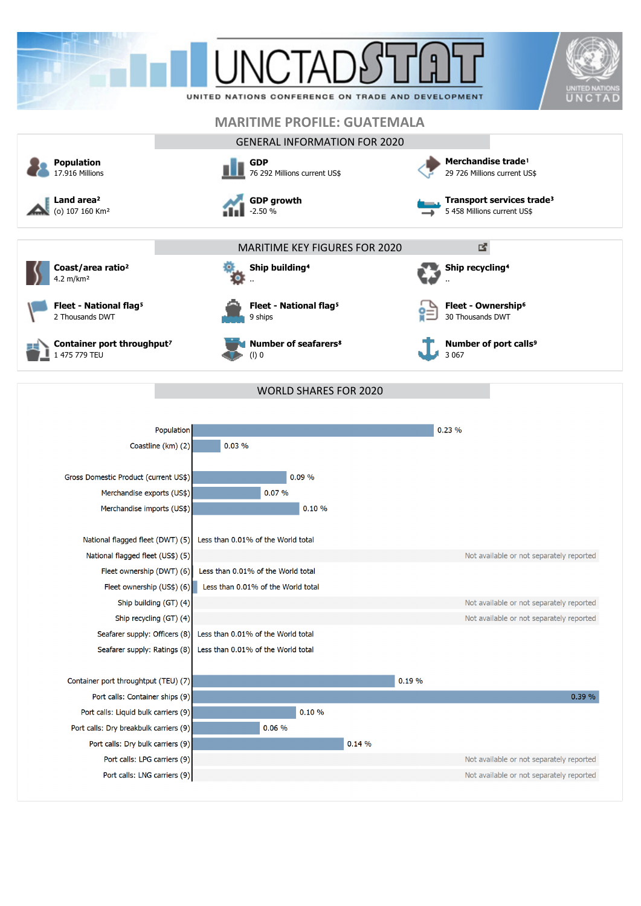

 $0.14%$ 

Not available or not separately reported Not available or not separately reported

Port calls: Dry breakbulk carriers (9) Port calls: Dry bulk carriers (9)

Port calls: LPG carriers (9) Port calls: LNG carriers (9)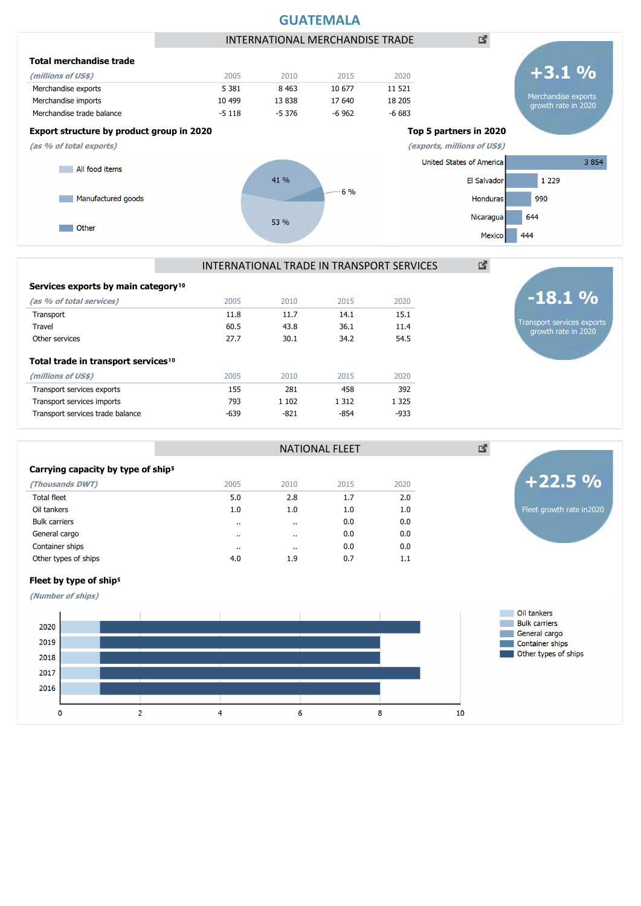![](_page_1_Figure_0.jpeg)

# INTERNATIONAL TRADE IN TRANSPORT SERVICES

NATIONAL FLEET

| Services exports by main category <sup>10</sup>                       |        |         |         |         |
|-----------------------------------------------------------------------|--------|---------|---------|---------|
| (as % of total services)                                              | 2005   | 2010    | 2015    | 2020    |
| Transport                                                             | 11.8   | 11.7    | 14.1    | 15.1    |
| Travel                                                                | 60.5   | 43.8    | 36.1    | 11.4    |
| Other services                                                        | 27.7   | 30.1    | 34.2    | 54.5    |
| Total trade in transport services <sup>10</sup><br>(millions of US\$) | 2005   | 2010    | 2015    | 2020    |
| Transport services exports                                            | 155    | 281     | 458     | 392     |
| Transport services imports                                            | 793    | 1 1 0 2 | 1 3 1 2 | 1 3 2 5 |
| Transport services trade balance                                      | $-639$ | $-821$  | -854    | $-933$  |
|                                                                       |        |         |         |         |

| Carrying capacity by type of ship <sup>5</sup> |      |          |      |      |
|------------------------------------------------|------|----------|------|------|
| (Thousands DWT)                                | 2005 | 2010     | 2015 | 2020 |
| <b>Total fleet</b>                             | 5.0  | 2.8      | 1.7  | 2.0  |
| Oil tankers                                    | 1.0  | 1.0      | 1.0  | 1.0  |
| <b>Bulk carriers</b>                           |      | $\cdots$ | 0.0  | 0.0  |
| General cargo                                  |      | $\cdot$  | 0.0  | 0.0  |
| Container ships                                |      | $\cdots$ | 0.0  | 0.0  |
| Other types of ships                           | 4.0  | 1.9      | 0.7  | 1.1  |

# Fleet by type of ship<sup>5</sup>

**(Number of ships)**

![](_page_1_Figure_7.jpeg)

Fleet growth rate in2020

**+22.5 %**

図

Transport services exports growth rate in 2020

**-18.1 %**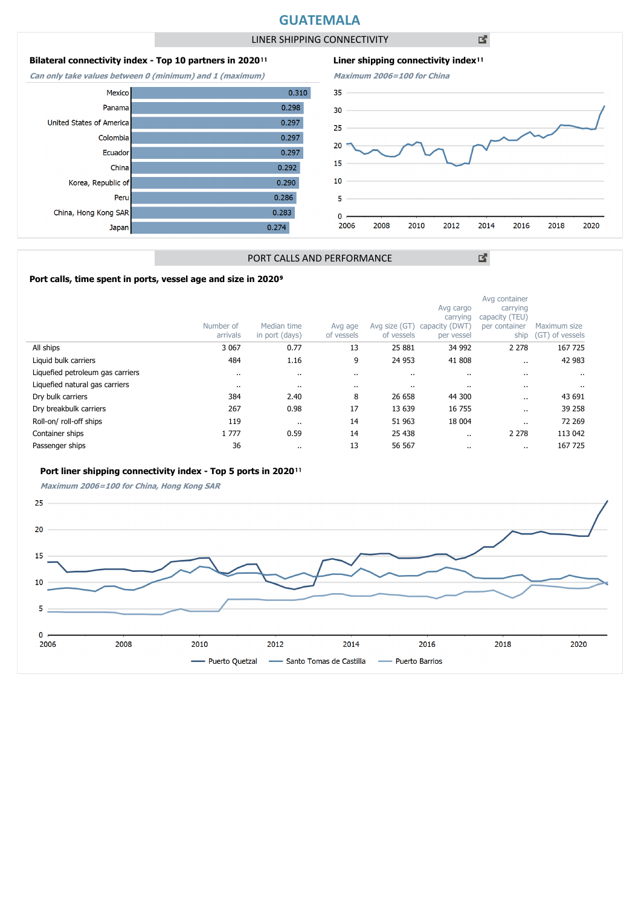# **GUATEMALA**

LINER SHIPPING CONNECTIVITY

凶

# **Bilateral connectivity index - Top 10 partners in 2020**<sup>11</sup>

**Can only take values between 0 (minimum) and 1 (maximum)**

![](_page_2_Figure_5.jpeg)

![](_page_2_Figure_6.jpeg)

図

# PORT CALLS AND PERFORMANCE

# Port calls, time spent in ports, vessel age and size in 2020<sup>9</sup>

|                                  | Number of<br>arrivals | Median time<br>in port (days) | Avg age<br>of vessels | Avg size (GT)<br>of vessels | Avg cargo<br>carrying<br>capacity (DWT)<br>per vessel | Avg container<br>carrying<br>capacity (TEU)<br>per container<br>ship | Maximum size<br>(GT) of vessels |
|----------------------------------|-----------------------|-------------------------------|-----------------------|-----------------------------|-------------------------------------------------------|----------------------------------------------------------------------|---------------------------------|
| All ships                        | 3 0 6 7               | 0.77                          | 13                    | 25 881                      | 34 992                                                | 2 2 7 8                                                              | 167 725                         |
| Liquid bulk carriers             | 484                   | 1.16                          | 9                     | 24 953                      | 41 808                                                |                                                                      | 42 983                          |
| Liquefied petroleum gas carriers | $\cdot$               | $\cdots$                      |                       | $\cdots$                    | $\cdot$                                               |                                                                      |                                 |
| Liquefied natural gas carriers   | $\cdot$               |                               |                       | $\cdots$                    | $\cdots$                                              |                                                                      | $\cdots$                        |
| Dry bulk carriers                | 384                   | 2.40                          | 8                     | 26 658                      | 44 300                                                |                                                                      | 43 691                          |
| Dry breakbulk carriers           | 267                   | 0.98                          | 17                    | 13 639                      | 16 755                                                | $\ddot{\phantom{a}}$                                                 | 39 258                          |
| Roll-on/roll-off ships           | 119                   | $\cdots$                      | 14                    | 51 963                      | 18 004                                                | $\cdot$ .                                                            | 72 269                          |
| Container ships                  | 1 7 7 7               | 0.59                          | 14                    | 25 438                      |                                                       | 2 2 7 8                                                              | 113 042                         |
| Passenger ships                  | 36                    | $\cdots$                      | 13                    | 56 567                      |                                                       |                                                                      | 167 725                         |

#### Port liner shipping connectivity index - Top 5 ports in 2020<sup>11</sup>

**Maximum 2006=100 for China, Hong Kong SAR**

![](_page_2_Figure_12.jpeg)